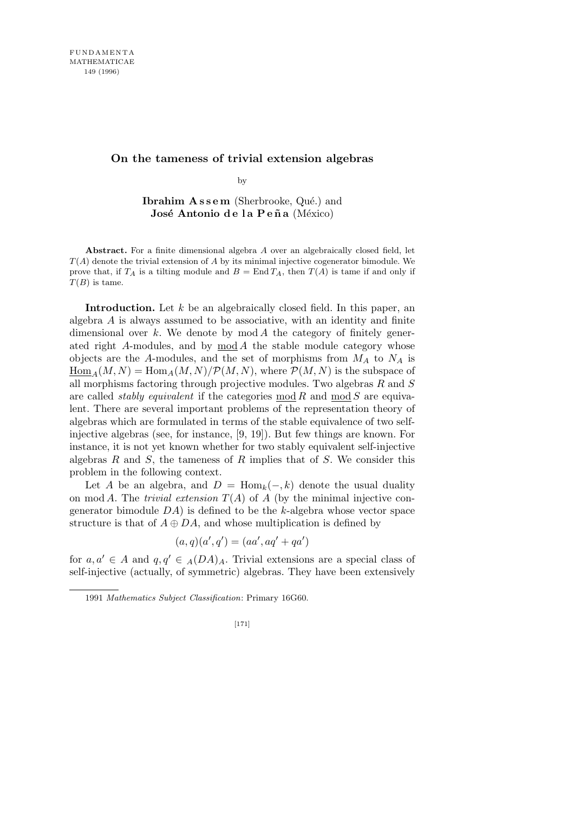# **On the tameness of trivial extension algebras**

by

**Ibrahim Assem** (Sherbrooke, Qué.) and **José Antonio de la Peña** (México)

**Abstract.** For a finite dimensional algebra *A* over an algebraically closed field, let *T*(*A*) denote the trivial extension of *A* by its minimal injective cogenerator bimodule. We prove that, if  $T_A$  is a tilting module and  $B = \text{End } T_A$ , then  $T(A)$  is tame if and only if *T*(*B*) is tame.

**Introduction.** Let *k* be an algebraically closed field. In this paper, an algebra *A* is always assumed to be associative, with an identity and finite dimensional over *k*. We denote by mod *A* the category of finitely generated right *A*-modules, and by mod *A* the stable module category whose objects are the *A*-modules, and the set of morphisms from *M<sup>A</sup>* to *N<sup>A</sup>* is  $\underline{\text{Hom}}_A(M, N) = \text{Hom}_A(M, N)/\mathcal{P}(M, N)$ , where  $\mathcal{P}(M, N)$  is the subspace of all morphisms factoring through projective modules. Two algebras *R* and *S* are called *stably equivalent* if the categories mod *R* and mod *S* are equivalent. There are several important problems of the representation theory of algebras which are formulated in terms of the stable equivalence of two selfinjective algebras (see, for instance, [9, 19]). But few things are known. For instance, it is not yet known whether for two stably equivalent self-injective algebras *R* and *S*, the tameness of *R* implies that of *S*. We consider this problem in the following context.

Let *A* be an algebra, and  $D = \text{Hom}_k(-,k)$  denote the usual duality on mod *A*. The *trivial extension*  $T(A)$  of *A* (by the minimal injective congenerator bimodule *DA*) is defined to be the *k*-algebra whose vector space structure is that of  $A \oplus DA$ , and whose multiplication is defined by

$$
(a,q)(a',q') = (aa',aq' + qa')
$$

for  $a, a' \in A$  and  $q, q' \in A(DA)_A$ . Trivial extensions are a special class of self-injective (actually, of symmetric) algebras. They have been extensively

<sup>1991</sup> *Mathematics Subject Classification*: Primary 16G60.

<sup>[171]</sup>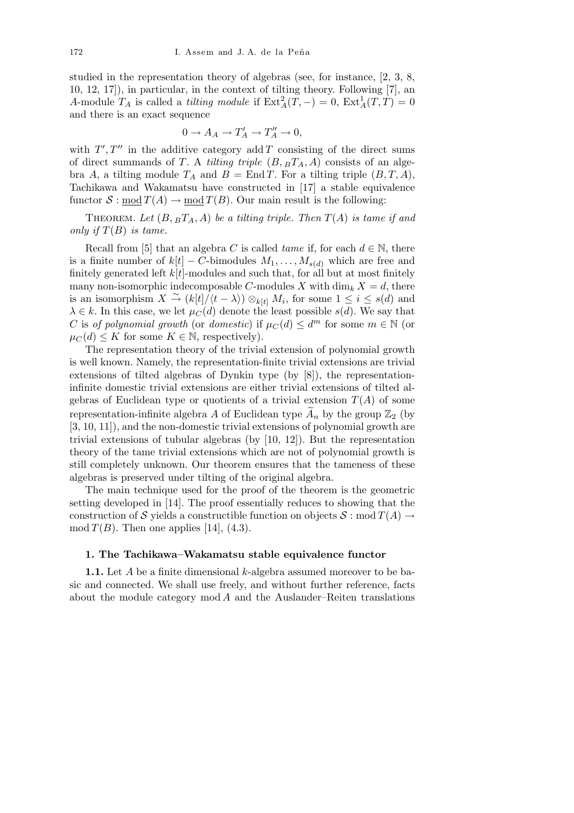studied in the representation theory of algebras (see, for instance, [2, 3, 8, 10, 12, 17]), in particular, in the context of tilting theory. Following [7], an *A*-module  $T_A$  is called a *tilting module* if  $\text{Ext}^2_A(T, -) = 0$ ,  $\text{Ext}^1_A(T, T) = 0$ and there is an exact sequence

$$
0 \to A_A \to T'_A \to T''_A \to 0,
$$

with  $T', T''$  in the additive category add *T* consisting of the direct sums of direct summands of *T*. A *tilting triple*  $(B, B_{A}T_{A}, A)$  consists of an algebra *A*, a tilting module  $T_A$  and  $B = \text{End }T$ . For a tilting triple  $(B, T, A)$ , Tachikawa and Wakamatsu have constructed in [17] a stable equivalence functor  $S: \text{mod } T(A) \to \text{mod } T(B)$ . Our main result is the following:

THEOREM. Let  $(B, B^T_A, A)$  be a tilting triple. Then  $T(A)$  is tame if and *only if T*(*B*) *is tame.*

Recall from [5] that an algebra *C* is called *tame* if, for each  $d \in \mathbb{N}$ , there is a finite number of  $k[t]$  – *C*-bimodules  $M_1, \ldots, M_{s(d)}$  which are free and finitely generated left  $k[t]$ -modules and such that, for all but at most finitely many non-isomorphic indecomposable *C*-modules *X* with  $\dim_k X = d$ , there is an isomorphism  $X \stackrel{\sim}{\to} (k[t]/\langle t - \lambda \rangle) \otimes_{k[t]} M_i$ , for some  $1 \leq i \leq s(d)$  and  $\lambda \in k$ . In this case, we let  $\mu_C(d)$  denote the least possible  $s(d)$ . We say that *C* is *of polynomial growth* (or *domestic*) if  $\mu_C(d) \leq d^m$  for some  $m \in \mathbb{N}$  (or  $\mu_C(d) \leq K$  for some  $K \in \mathbb{N}$ , respectively).

The representation theory of the trivial extension of polynomial growth is well known. Namely, the representation-finite trivial extensions are trivial extensions of tilted algebras of Dynkin type (by [8]), the representationinfinite domestic trivial extensions are either trivial extensions of tilted algebras of Euclidean type or quotients of a trivial extension  $T(A)$  of some representation-infinite algebra *A* of Euclidean type  $A_n$  by the group  $\mathbb{Z}_2$  (by [3, 10, 11]), and the non-domestic trivial extensions of polynomial growth are trivial extensions of tubular algebras (by [10, 12]). But the representation theory of the tame trivial extensions which are not of polynomial growth is still completely unknown. Our theorem ensures that the tameness of these algebras is preserved under tilting of the original algebra.

The main technique used for the proof of the theorem is the geometric setting developed in [14]. The proof essentially reduces to showing that the construction of *S* yields a constructible function on objects  $S : \text{mod } T(A) \rightarrow$  $mod T(B)$ . Then one applies [14], (4.3).

#### **1. The Tachikawa–Wakamatsu stable equivalence functor**

**1.1.** Let *A* be a finite dimensional *k*-algebra assumed moreover to be basic and connected. We shall use freely, and without further reference, facts about the module category mod *A* and the Auslander–Reiten translations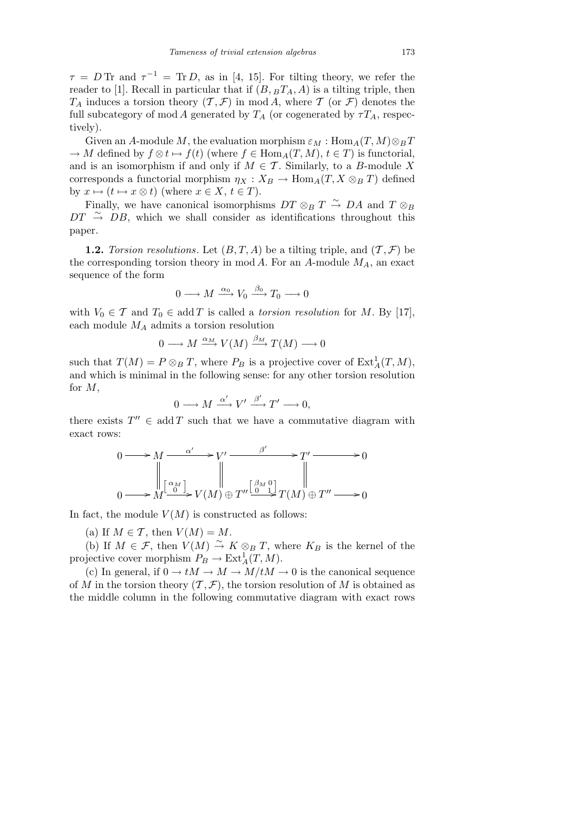$\tau = D$  Tr and  $\tau^{-1} = \text{Tr } D$ , as in [4, 15]. For tilting theory, we refer the reader to [1]. Recall in particular that if  $(B, B_{A}, A)$  is a tilting triple, then  $T_A$  induces a torsion theory  $(T, \mathcal{F})$  in mod *A*, where *T* (or *F*) denotes the full subcategory of mod *A* generated by  $T_A$  (or cogenerated by  $\tau T_A$ , respectively).

Given an *A*-module *M*, the evaluation morphism  $\varepsilon_M : \text{Hom}_A(T, M) \otimes_B T$  $\rightarrow$  *M* defined by  $f \otimes t \mapsto f(t)$  (where  $f \in \text{Hom}_A(T, M)$ ,  $t \in T$ ) is functorial, and is an isomorphism if and only if  $M \in \mathcal{T}$ . Similarly, to a *B*-module X corresponds a functorial morphism  $\eta_X : X_B \to \text{Hom}_A(T, X \otimes_B T)$  defined by  $x \mapsto (t \mapsto x \otimes t)$  (where  $x \in X, t \in T$ ).

Finally, we have canonical isomorphisms  $DT \otimes_B T \stackrel{\sim}{\rightarrow} DA$  and  $T \otimes_B T$  $DT \rightarrow DB$ , which we shall consider as identifications throughout this paper.

**1.2.** *Torsion resolutions.* Let  $(B, T, A)$  be a tilting triple, and  $(T, \mathcal{F})$  be the corresponding torsion theory in mod *A*. For an *A*-module *MA*, an exact sequence of the form

$$
0 \longrightarrow M \xrightarrow{\alpha_0} V_0 \xrightarrow{\beta_0} T_0 \longrightarrow 0
$$

with  $V_0 \in \mathcal{T}$  and  $T_0 \in \text{add } T$  is called a *torsion resolution* for *M*. By [17], each module *M<sup>A</sup>* admits a torsion resolution

$$
0 \longrightarrow M \xrightarrow{\alpha_M} V(M) \xrightarrow{\beta_M} T(M) \longrightarrow 0
$$

such that  $T(M) = P \otimes_B T$ , where  $P_B$  is a projective cover of  $\text{Ext}^1_A(T, M)$ , and which is minimal in the following sense: for any other torsion resolution for *M*,

$$
0 \longrightarrow M \xrightarrow{\alpha'} V' \xrightarrow{\beta'} T' \longrightarrow 0,
$$

there exists  $T'' \in \text{add } T$  such that we have a commutative diagram with exact rows:

$$
0 \longrightarrow M \xrightarrow{\alpha'} V' \xrightarrow{\beta'} T' \longrightarrow 0
$$
  
\n
$$
\parallel \alpha_M \parallel \qquad \qquad \parallel
$$
  
\n
$$
0 \longrightarrow M \xrightarrow{\alpha'} V(M) \oplus T'' \xrightarrow{\beta_M 0} T(M) \oplus T'' \longrightarrow 0
$$

In fact, the module  $V(M)$  is constructed as follows:

(a) If  $M \in \mathcal{T}$ , then  $V(M) = M$ .

(b) If  $M \in \mathcal{F}$ , then  $V(M) \stackrel{\sim}{\to} K \otimes_B T$ , where  $K_B$  is the kernel of the projective cover morphism  $P_B \to \text{Ext}^1_A(T, M)$ .

(c) In general, if  $0 \to tM \to M \to M/tM \to 0$  is the canonical sequence of *M* in the torsion theory  $(\mathcal{T}, \mathcal{F})$ , the torsion resolution of *M* is obtained as the middle column in the following commutative diagram with exact rows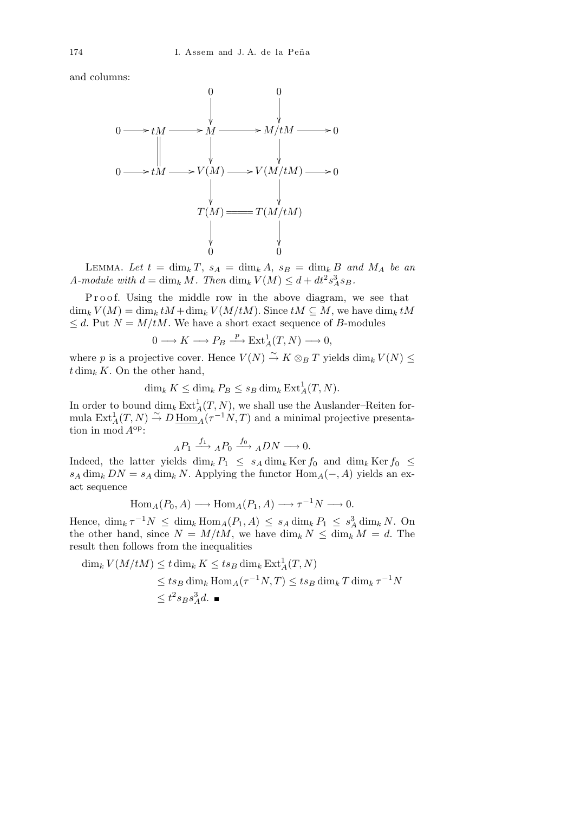and columns:



LEMMA. Let  $t = \dim_k T$ ,  $s_A = \dim_k A$ ,  $s_B = \dim_k B$  and  $M_A$  be an *A-module with*  $d = \dim_k M$ *. Then*  $\dim_k V(M) \leq d + dt^2 s_A^3 s_B$ *.* 

Proof. Using the middle row in the above diagram, we see that  $\dim_k V(M) = \dim_k tM + \dim_k V(M/tM)$ . Since  $tM \subseteq M$ , we have  $\dim_k tM$  $\leq d$ . Put  $N = M/tM$ . We have a short exact sequence of *B*-modules

$$
0 \longrightarrow K \longrightarrow P_B \stackrel{p}{\longrightarrow} \text{Ext}^1_A(T, N) \longrightarrow 0,
$$

where *p* is a projective cover. Hence  $V(N) \stackrel{\sim}{\rightarrow} K \otimes_B T$  yields  $\dim_k V(N) \leq$  $t \dim_k K$ . On the other hand,

$$
\dim_k K \le \dim_k P_B \le s_B \dim_k \operatorname{Ext}_A^1(T, N).
$$

In order to bound  $\dim_k \text{Ext}^1_A(T, N)$ , we shall use the Auslander–Reiten formula  $\text{Ext}_{A}^{1}(T, N) \overset{\sim}{\rightarrow} D \underline{\text{Hom}_{A}}^{n}(\tau^{-1}N, T)$  and a minimal projective presentation in mod *A*op:

$$
{}_AP_1 \xrightarrow{f_1} {}_AP_0 \xrightarrow{f_0} {}_ADN \longrightarrow 0.
$$

Indeed, the latter yields  $\dim_k P_1 \leq s_A \dim_k \text{Ker } f_0$  and  $\dim_k \text{Ker } f_0 \leq$  $s_A \dim_k DN = s_A \dim_k N$ . Applying the functor  $\text{Hom}_A(-, A)$  yields an exact sequence

$$
Hom_A(P_0, A) \longrightarrow Hom_A(P_1, A) \longrightarrow \tau^{-1}N \longrightarrow 0.
$$

Hence,  $\dim_k \tau^{-1}N \leq \dim_k \text{Hom}_A(P_1, A) \leq s_A \dim_k P_1 \leq s_A^3 \dim_k N$ . On the other hand, since  $N = M/tM$ , we have  $\dim_k N \leq \dim_k M = d$ . The result then follows from the inequalities

$$
\dim_k V(M/tM) \le t \dim_k K \le ts_B \dim_k \operatorname{Ext}^1_A(T, N)
$$
  
\n
$$
\le ts_B \dim_k \operatorname{Hom}_A(\tau^{-1}N, T) \le ts_B \dim_k T \dim_k \tau^{-1}N
$$
  
\n
$$
\le t^2 s_B s_A^3 d. \blacksquare
$$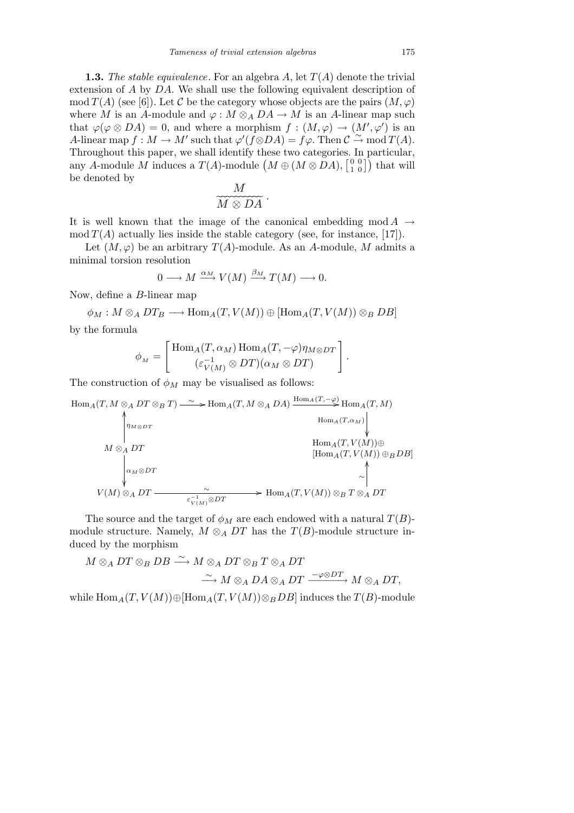**1.3.** *The stable equivalence*. For an algebra *A*, let *T*(*A*) denote the trivial extension of *A* by *DA*. We shall use the following equivalent description of  $\text{mod } T(A)$  (see [6]). Let *C* be the category whose objects are the pairs  $(M, \varphi)$ where *M* is an *A*-module and  $\varphi : M \otimes_A DA \to M$  is an *A*-linear map such that  $\varphi(\varphi \otimes DA) = 0$ , and where a morphism  $f : (M, \varphi) \to (M', \varphi')$  is an *A*-linear map  $f : M \to M'$  such that  $\varphi'(f \otimes DA) = f\varphi$ . Then  $C \stackrel{\sim}{\to} \text{mod } T(A)$ . Throughout this paper, we shall identify these two categories. In particular, I information that paper, we shall identify these two categories. In particular, any *A*-module *M* induces a  $T(A)$ -module  $(M \oplus (M \otimes DA), \begin{bmatrix} 0 & 0 \\ 1 & 0 \end{bmatrix})$  that will be denoted by  $\overline{M}$ 

$$
\overbrace{M\otimes DA}^M
$$

It is well known that the image of the canonical embedding mod  $A \rightarrow$  $\mod T(A)$  actually lies inside the stable category (see, for instance, [17]).

Let  $(M, \varphi)$  be an arbitrary  $T(A)$ -module. As an *A*-module, *M* admits a minimal torsion resolution

$$
0 \longrightarrow M \xrightarrow{\alpha_M} V(M) \xrightarrow{\beta_M} T(M) \longrightarrow 0.
$$

Now, define a *B*-linear map

$$
\phi_M: M \otimes_A DT_B \longrightarrow \text{Hom}_A(T, V(M)) \oplus [\text{Hom}_A(T, V(M)) \otimes_B DB]
$$

by the formula

$$
\phi_M = \begin{bmatrix} \text{Hom}_A(T, \alpha_M) \, \text{Hom}_A(T, -\varphi) \eta_{M \otimes DT} \\ (\varepsilon_{V(M)}^{-1} \otimes DT)(\alpha_M \otimes DT) \end{bmatrix}.
$$

The construction of  $\phi_M$  may be visualised as follows:

$$
\begin{array}{cccc}\n\text{Hom}_{A}(T, M \otimes_{A} DT \otimes_{B} T) & \xrightarrow{\sim} \text{Hom}_{A}(T, M \otimes_{A} DA) \xrightarrow{\text{Hom}_{A}(T, -\varphi)} \text{Hom}_{A}(T, M) \\
\downarrow^{\text{Hom}_{A}(T, \alpha_{M})} & \downarrow^{\text{Hom}_{A}(T, \alpha_{M})} \\
M \otimes_{A} DT & \text{Hom}_{A}(T, V(M)) \oplus \\
& \downarrow^{\text{Hom}_{A}(T, V(M))} \oplus_{B} DB] \\
& \downarrow^{\text{Hom}_{A}(T, V(M))} \oplus_{B} DB] \\
V(M) \otimes_{A} DT & \xrightarrow{\sim} \text{Hom}_{A}(T, V(M)) \otimes_{B} T \otimes_{A} DT\n\end{array}
$$

The source and the target of  $\phi_M$  are each endowed with a natural  $T(B)$ module structure. Namely,  $M \otimes_A DT$  has the  $T(B)$ -module structure induced by the morphism

$$
M \otimes_A DT \otimes_B DB \xrightarrow{\sim} M \otimes_A DT \otimes_B T \otimes_A DT
$$
  

$$
\xrightarrow{\sim} M \otimes_A DA \otimes_A DT \xrightarrow{-\varphi \otimes DT} M \otimes_A DT,
$$

while  $\text{Hom}_A(T, V(M)) ⊕$ [ $\text{Hom}_A(T, V(M)) ⊗_B DB$ ] induces the *T*(*B*)-module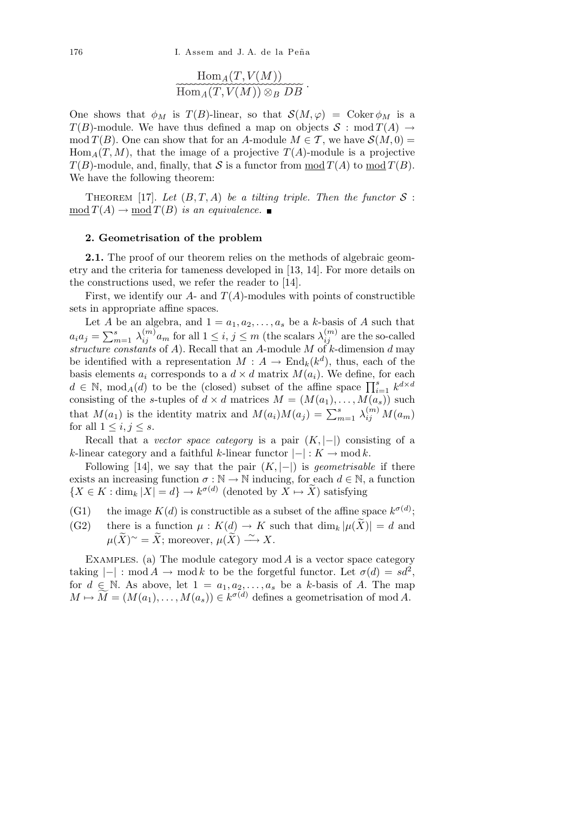176 I. Assem and J. A. de la Peña

$$
\overbrace{\mathrm{Hom}_A(T,V(M))}^{\mathrm{Hom}_A(T,V(M))}\widetilde{\otimes_B\,DB}
$$

One shows that  $\phi_M$  is  $T(B)$ -linear, so that  $\mathcal{S}(M,\varphi) = \text{Coker }\phi_M$  is a *T*(*B*)-module. We have thus defined a map on objects  $S : \text{mod } T(A) \rightarrow$ mod  $T(B)$ . One can show that for an *A*-module  $M \in \mathcal{T}$ , we have  $\mathcal{S}(M, 0) =$  $Hom<sub>A</sub>(T, M)$ , that the image of a projective  $T(A)$ -module is a projective  $T(B)$ -module, and, finally, that *S* is a functor from mod  $T(A)$  to mod  $T(B)$ . We have the following theorem:

THEOREM [17]. Let  $(B, T, A)$  be a tilting triple. Then the functor  $S$ :  $mod T(A) \rightarrow mod T(B)$  *is an equivalence.* 

### **2. Geometrisation of the problem**

**2.1.** The proof of our theorem relies on the methods of algebraic geometry and the criteria for tameness developed in [13, 14]. For more details on the constructions used, we refer the reader to [14].

First, we identify our  $A$ - and  $T(A)$ -modules with points of constructible sets in appropriate affine spaces.

Let *A* be an algebra, and  $1 = a_1, a_2, \ldots, a_s$  be a *k*-basis of *A* such that  $a_i a_j = \sum_{n=1}^{s} a_j$  $\sum_{m=1}^{s} \lambda_{ij}^{(m)} a_m$  for all  $1 \leq i, j \leq m$  (the scalars  $\lambda_{ij}^{(m)}$  are the so-called *structure constants* of *A*). Recall that an *A*-module *M* of *k*-dimension *d* may be identified with a representation  $M: A \to \text{End}_k(k^d)$ , thus, each of the basis elements  $a_i$  corresponds to a  $d \times d$  matrix  $M(a_i)$ . We define, for each basis elements  $a_i$  corresponds to a  $a \times a$  matrix  $M(a_i)$ . We define, for each  $d \in \mathbb{N}$ , mod<sub>*A*</sub>(*d*) to be the (closed) subset of the affine space  $\prod_{i=1}^s k^{d \times d}$ consisting of the *s*-tuples of  $d \times d$  matrices  $M = (M(a_1), \ldots, M(a_s))$  such that  $M(a_1)$  is the identity matrix and  $M(a_i)M(a_j) = \sum_{m=1}^s \lambda_{ij}^{(m)}M(a_m)$ for all  $1 \leq i, j \leq s$ .

Recall that a *vector space category* is a pair (*K, |−|*) consisting of a *k*-linear category and a faithful *k*-linear functor  $|-|: K \to \text{mod } k$ .

Following [14], we say that the pair  $(K, |-|)$  is *geometrisable* if there exists an increasing function  $\sigma : \mathbb{N} \to \mathbb{N}$  inducing, for each  $d \in \mathbb{N}$ , a function  ${X \in K : \dim_k |X| = d} \rightarrow k^{\sigma(d)}$  (denoted by  $X \mapsto \widetilde{X}$ ) satisfying

- (G1) the image  $K(d)$  is constructible as a subset of the affine space  $k^{\sigma(d)}$ ;
- (G2) there is a function  $\mu : K(d) \to K$  such that  $\dim_k |\mu(\tilde{X})| = d$  and  $\mu(\widetilde{X})^{\sim} = \widetilde{X}$ ; moreover,  $\mu(\widetilde{X}) \stackrel{\sim}{\longrightarrow} X$ .

EXAMPLES. (a) The module category  $mod A$  is a vector space category taking  $|-|$ : mod  $A \rightarrow \text{mod } k$  to be the forgetful functor. Let  $\sigma(d) = sd^2$ , for  $d \in \mathbb{N}$ . As above, let  $1 = a_1, a_2, \ldots, a_s$  be a *k*-basis of *A*. The map  $M \mapsto \widetilde{M} = (M(a_1), \ldots, M(a_s)) \in k^{\sigma(d)}$  defines a geometrisation of mod *A*.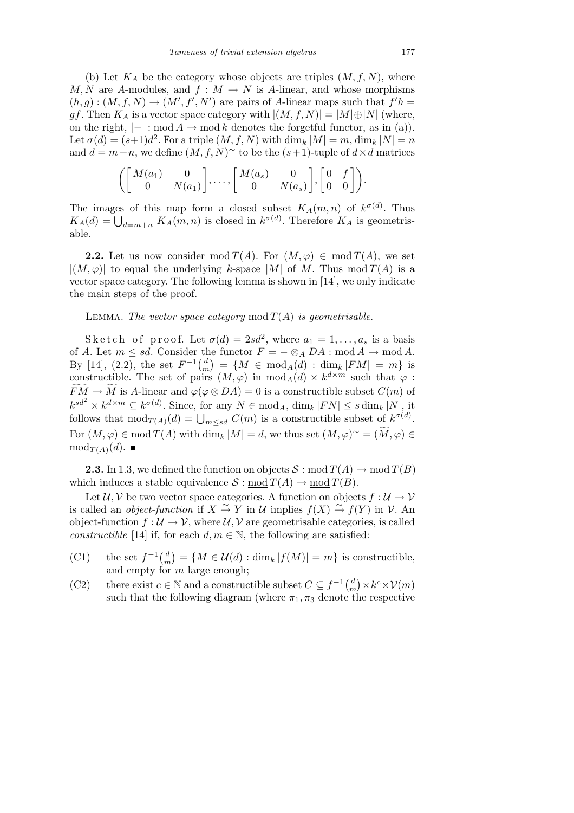(b) Let  $K_A$  be the category whose objects are triples  $(M, f, N)$ , where *M, N* are *A*-modules, and  $f : M \to N$  is *A*-linear, and whose morphisms  $(h, g) : (M, f, N) \to (M', f', N')$  are pairs of *A*-linear maps such that  $f'h =$ *gf*. Then  $K_A$  is a vector space category with  $|(M, f, N)| = |M| \oplus |N|$  (where, on the right,  $|-|$ : mod  $A \rightarrow$  mod  $k$  denotes the forgetful functor, as in (a)). Let  $\sigma(d) = (s+1)d^2$ . For a triple  $(M, f, N)$  with  $\dim_k |M| = m$ ,  $\dim_k |N| = n$ and  $d = m + n$ , we define  $(M, f, N)$ <sup>∼</sup> to be the  $(s + 1)$ -tuple of  $d \times d$  matrices

$$
\left( \begin{bmatrix} M(a_1) & 0 \\ 0 & N(a_1) \end{bmatrix}, \dots, \begin{bmatrix} M(a_s) & 0 \\ 0 & N(a_s) \end{bmatrix}, \begin{bmatrix} 0 & f \\ 0 & 0 \end{bmatrix} \right).
$$

The images of this map form a closed subset  $K_A(m, n)$  of  $k^{\sigma(d)}$ . Thus *K*<sub>*A*</sub>(*d*) =  $\bigcup_{d=m+n} K_A(m, n)$  is closed in  $k^{\sigma(d)}$ . Therefore *K*<sub>*A*</sub> is geometrisable.

**2.2.** Let us now consider mod  $T(A)$ . For  $(M, \varphi) \in \text{mod } T(A)$ , we set  $|(M,\varphi)|$  to equal the underlying *k*-space  $|M|$  of *M*. Thus mod  $T(A)$  is a vector space category. The following lemma is shown in [14], we only indicate the main steps of the proof.

## LEMMA. *The vector space category* mod  $T(A)$  *is geometrisable.*

Sk e t c h o f p r o o f. Let  $\sigma(d) = 2sd^2$ , where  $a_1 = 1, \ldots, a_s$  is a basis of *A*. Let  $m \le sd$ . Consider the functor  $F = - \otimes_A DA$  : mod  $A \rightarrow \text{mod } A$ . By [14], (2.2), the set  $F^{-1}$  $\binom{d}{r}$  $\binom{d}{m}$  = {*M*  $\in \text{mod}_A(d)$  : dim<sub>*k*</sub>  $|FM| = m$ } is constructible. The set of pairs  $(M, \varphi)$  in  $\text{mod}_A(d) \times k^{d \times m}$  such that  $\varphi$ :  $\widetilde{FM} \rightarrow \widetilde{M}$  is *A*-linear and  $\varphi(\varphi \otimes DA) = 0$  is a constructible subset  $C(m)$  of  $k^{sd^2} \times k^{d \times m} \subseteq k^{\sigma(d)}$ . Since, for any  $N \in \text{mod}_A$ ,  $\dim_k |FN| \leq s \dim_k |N|$ , it follows that  $\text{mod}_{T(A)}(d) = \bigcup_{m \leq sd} C(m)$  is a constructible subset of  $k^{\sigma(d)}$ .  $\text{For } (M, \varphi) \in \text{mod } T(A) \text{ with } \dim_k |M| = d$ , we thus set  $(M, \varphi)^\sim = (\widetilde{M}, \varphi) \in$  $mod_{T(A)}(d)$ .

**2.3.** In 1.3, we defined the function on objects  $S: \text{mod } T(A) \to \text{mod } T(B)$ which induces a stable equivalence  $S: \text{mod } T(A) \to \text{mod } T(B)$ .

Let  $U, V$  be two vector space categories. A function on objects  $f: U \to V$ is called an *object-function* if  $X \stackrel{\sim}{\to} Y$  in  $\mathcal U$  implies  $f(X) \stackrel{\sim}{\to} f(Y)$  in  $\mathcal V$ . An object-function  $f: U \to V$ , where  $U, V$  are geometrisable categories, is called *constructible* [14] if, for each  $d, m \in \mathbb{N}$ , the following are satisfied:

- (C1) the set  $f^{-1}$  $\begin{pmatrix} d \\ d \end{pmatrix}$ *m*  $\mathbf{r}$  $=\{M \in \mathcal{U}(d) : \dim_k |f(M)| = m\}$  is constructible, and empty for *m* large enough;<br> $\frac{1}{4}$
- (C2) there exist  $c \in \mathbb{N}$  and a constructible subset  $C \subseteq f^{-1}(\frac{d}{d})$  $\binom{d}{m}$   $\times$   $k^c$   $\times$   $V(m)$ such that the following diagram (where  $\pi_1, \pi_3$  denote the respective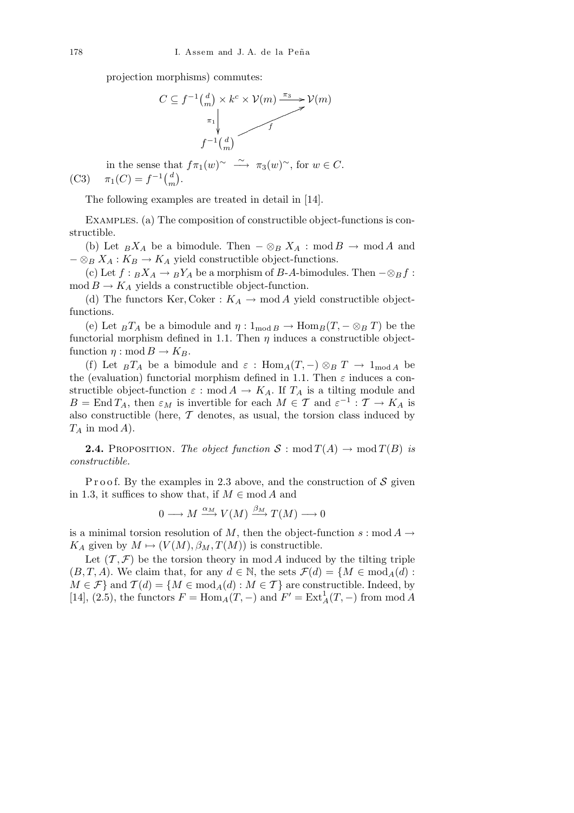projection morphisms) commutes:



in the sense that  $f\pi_1(w)$ <sup>*∼*</sup>  $\longrightarrow \pi_3(w)$ <sup>*∼*</sup>, for  $w \in C$ . (C3)  $\pi_1(C) = f^{-1} \frac{d}{dx}$ *m* ٦J .

The following examples are treated in detail in [14].

Examples. (a) The composition of constructible object-functions is constructible.

(b) Let  $_B X_A$  be a bimodule. Then  $-\otimes_B X_A$  : mod  $B \to \text{mod } A$  and  $-\otimes_B X_A : K_B \to K_A$  yield constructible object-functions.

(c) Let  $f: B X_A \to B Y_A$  be a morphism of *B*-*A*-bimodules. Then  $-\otimes_B f$ :  $\text{mod } B \to K_A$  yields a constructible object-function.

(d) The functors Ker, Coker :  $K_A \rightarrow \text{mod } A$  yield constructible objectfunctions.

(e) Let  $_B T_A$  be a bimodule and  $\eta : 1_{\text{mod } B} \to \text{Hom}_B(T, - \otimes_B T)$  be the functorial morphism defined in 1.1. Then *η* induces a constructible objectfunction  $\eta : \text{mod } B \to K_B$ .

(f) Let  $_BT_A$  be a bimodule and  $\varepsilon$ : Hom $_A(T, -) \otimes_B T \rightarrow 1_{\text{mod }A}$  be the (evaluation) functorial morphism defined in 1.1. Then  $\varepsilon$  induces a constructible object-function  $\varepsilon$  : mod  $A \to K_A$ . If  $T_A$  is a tilting module and  $B = \text{End } T_A$ , then  $\varepsilon_M$  is invertible for each  $M \in \mathcal{T}$  and  $\varepsilon^{-1} : \mathcal{T} \to K_A$  is also constructible (here, *T* denotes, as usual, the torsion class induced by *T<sup>A</sup>* in mod *A*).

**2.4.** PROPOSITION. *The object function*  $S: \text{mod } T(A) \to \text{mod } T(B)$  *is constructible.*

P r o o f. By the examples in 2.3 above, and the construction of S given in 1.3, it suffices to show that, if  $M \in \mathbf{mod}\,A$  and

$$
0 \longrightarrow M \xrightarrow{\alpha_M} V(M) \xrightarrow{\beta_M} T(M) \longrightarrow 0
$$

is a minimal torsion resolution of *M*, then the object-function  $s : \text{mod } A \rightarrow$ *KA* given by  $M \mapsto (V(M), \beta_M, T(M))$  is constructible.

Let  $(\mathcal{T}, \mathcal{F})$  be the torsion theory in mod *A* induced by the tilting triple  $(B, T, A)$ . We claim that, for any  $d \in \mathbb{N}$ , the sets  $\mathcal{F}(d) = \{M \in \text{mod}_A(d) :$  $M \in \mathcal{F}$ } and  $\mathcal{T}(d) = \{M \in \text{mod}_A(d) : M \in \mathcal{T}\}\$ are constructible. Indeed, by  $[14]$ ,  $(2.5)$ , the functors  $F = \text{Hom}_A(T, -)$  and  $F' = \text{Ext}_A^1(T, -)$  from mod *A*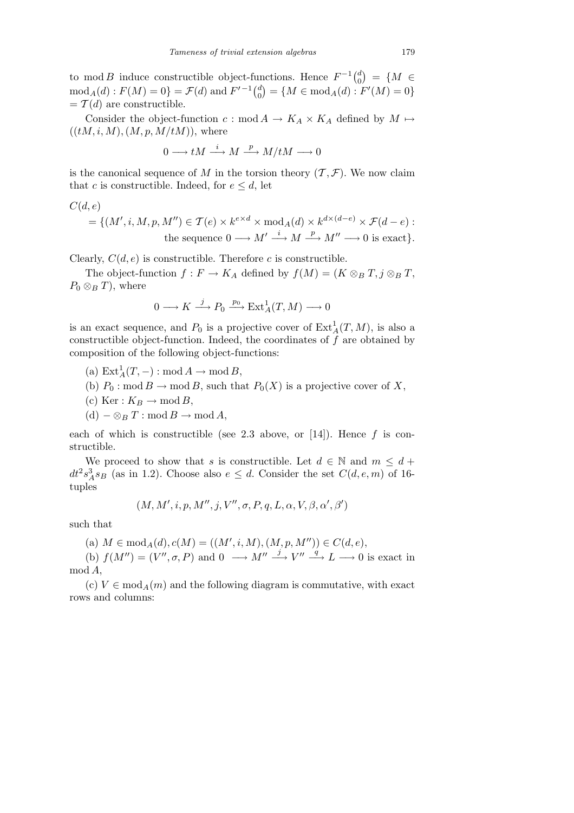to mod *B* induce constructible object-functions. Hence  $F^{-1} \begin{pmatrix} d \\ d \end{pmatrix}$ 0  $\mathbf{r}$  $\lim$ *c*tions. Hence  $F^{-1} {d \choose 0} = \{ M \in$  $\text{mod}_A(d): F(M) = 0$  =  $\mathcal{F}(d)$  and  $F'^{-1}\binom{d}{0}$  $\binom{d}{0}$  = { $M \in \text{mod}_A(d) : F'(M) = 0$ }  $= \mathcal{T}(d)$  are constructible.

Consider the object-function  $c : \text{mod } A \to K_A \times K_A$  defined by  $M \mapsto$  $((tM, i, M), (M, p, M/tM))$ , where

$$
0 \longrightarrow tM \stackrel{i}{\longrightarrow} M \stackrel{p}{\longrightarrow} M/tM \longrightarrow 0
$$

is the canonical sequence of *M* in the torsion theory  $(\mathcal{T}, \mathcal{F})$ . We now claim that *c* is constructible. Indeed, for  $e \leq d$ , let

$$
C(d,e)
$$

$$
= \{ (M', i, M, p, M'') \in \mathcal{T}(e) \times k^{e \times d} \times \text{mod}_A(d) \times k^{d \times (d-e)} \times \mathcal{F}(d-e) : \\ \text{the sequence } 0 \longrightarrow M' \stackrel{i}{\longrightarrow} M \stackrel{p}{\longrightarrow} M'' \longrightarrow 0 \text{ is exact} \}.
$$

Clearly,  $C(d, e)$  is constructible. Therefore *c* is constructible.

The object-function  $f: F \to K_A$  defined by  $f(M) = (K \otimes_B T, j \otimes_B T,$  $P_0 \otimes_B T$ , where

$$
0 \longrightarrow K \xrightarrow{j} P_0 \xrightarrow{p_0} \operatorname{Ext}^1_A(T, M) \longrightarrow 0
$$

is an exact sequence, and  $P_0$  is a projective cover of  $\text{Ext}_{A}^{1}(T, M)$ , is also a constructible object-function. Indeed, the coordinates of *f* are obtained by composition of the following object-functions:

- $(a) \operatorname{Ext}^1_A(T, -) : \operatorname{mod} A \to \operatorname{mod} B$ ,
- (b)  $P_0: \text{mod } B \to \text{mod } B$ , such that  $P_0(X)$  is a projective cover of X,
- (c) Ker :  $K_B \rightarrow \text{mod } B$ ,
- (d) *− ⊗<sup>B</sup> T* : mod *B →* mod *A*,

each of which is constructible (see 2.3 above, or [14]). Hence *f* is constructible.

We proceed to show that *s* is constructible. Let  $d \in \mathbb{N}$  and  $m \leq d$  +  $dt^2 s_A^3 s_B$  (as in 1.2). Choose also  $e \leq d$ . Consider the set  $C(d, e, m)$  of 16tuples

$$
(M,M',i,p,M'',j,V'',\sigma,P,q,L,\alpha,V,\beta,\alpha',\beta')
$$

such that

 $(A)$   $M \in \text{mod}_A(d), c(M) = ((M', i, M), (M, p, M'')) \in C(d, e),$ 

(b)  $f(M'') = (V'', \sigma, P)$  and  $0 \longrightarrow M'' \stackrel{j}{\longrightarrow} V'' \stackrel{q}{\longrightarrow} L \longrightarrow 0$  is exact in mod *A*,

(c)  $V \in \text{mod}_A(m)$  and the following diagram is commutative, with exact rows and columns: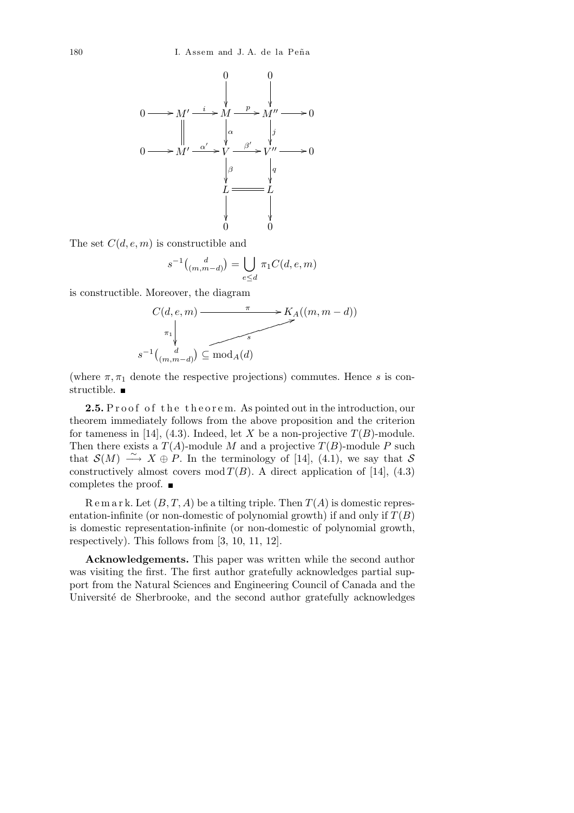

The set *C*(*d, e, m*) is constructible and

$$
s^{-1} \tbinom{d}{(m,m-d)} = \bigcup_{e \le d} \pi_1 C(d,e,m)
$$

is constructible. Moreover, the diagram

*s*

$$
C(d, e, m) \xrightarrow{\pi} K_A((m, m-d))
$$
  
\n
$$
\uparrow
$$
  
\n
$$
-1 {d \choose (m, m-d)} \subseteq \text{mod}_A(d)
$$

(where  $\pi, \pi_1$  denote the respective projections) commutes. Hence *s* is constructible.  $\blacksquare$ 

**2.5.** Proof of the theorem. As pointed out in the introduction, our theorem immediately follows from the above proposition and the criterion for tameness in [14], (4.3). Indeed, let *X* be a non-projective  $T(B)$ -module. Then there exists a  $T(A)$ -module *M* and a projective  $T(B)$ -module *P* such that  $\mathcal{S}(M) \stackrel{\sim}{\longrightarrow} X \oplus P$ . In the terminology of [14], (4.1), we say that  $\mathcal{S}$ constructively almost covers mod  $T(B)$ . A direct application of [14], (4.3) completes the proof.

 $\text{R}$  e m a r k. Let  $(B, T, A)$  be a tilting triple. Then  $T(A)$  is domestic representation-infinite (or non-domestic of polynomial growth) if and only if  $T(B)$ is domestic representation-infinite (or non-domestic of polynomial growth, respectively). This follows from [3, 10, 11, 12].

**Acknowledgements.** This paper was written while the second author was visiting the first. The first author gratefully acknowledges partial support from the Natural Sciences and Engineering Council of Canada and the Université de Sherbrooke, and the second author gratefully acknowledges